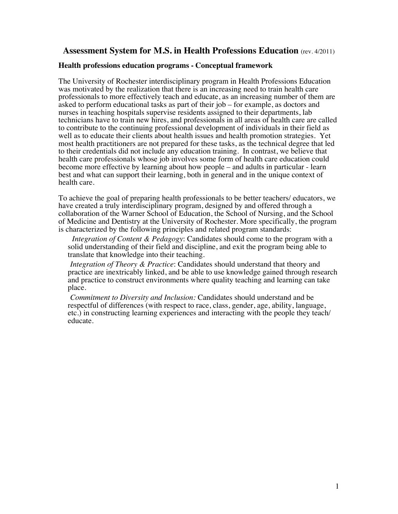## **Assessment System for M.S. in Health Professions Education** (rev. 4/2011)

### **Health professions education programs - Conceptual framework**

The University of Rochester interdisciplinary program in Health Professions Education was motivated by the realization that there is an increasing need to train health care professionals to more effectively teach and educate, as an increasing number of them are asked to perform educational tasks as part of their job – for example, as doctors and nurses in teaching hospitals supervise residents assigned to their departments, lab technicians have to train new hires, and professionals in all areas of health care are called to contribute to the continuing professional development of individuals in their field as well as to educate their clients about health issues and health promotion strategies. Yet most health practitioners are not prepared for these tasks, as the technical degree that led to their credentials did not include any education training. In contrast, we believe that health care professionals whose job involves some form of health care education could become more effective by learning about how people – and adults in particular - learn best and what can support their learning, both in general and in the unique context of health care.

To achieve the goal of preparing health professionals to be better teachers/ educators, we have created a truly interdisciplinary program, designed by and offered through a collaboration of the Warner School of Education, the School of Nursing, and the School of Medicine and Dentistry at the University of Rochester. More specifically, the program is characterized by the following principles and related program standards:

 *Integration of Content & Pedagogy*: Candidates should come to the program with a solid understanding of their field and discipline, and exit the program being able to translate that knowledge into their teaching.

 *Integration of Theory & Practice*: Candidates should understand that theory and practice are inextricably linked, and be able to use knowledge gained through research and practice to construct environments where quality teaching and learning can take place.

 *Commitment to Diversity and Inclusion:* Candidates should understand and be respectful of differences (with respect to race, class, gender, age, ability, language, etc.) in constructing learning experiences and interacting with the people they teach/ educate.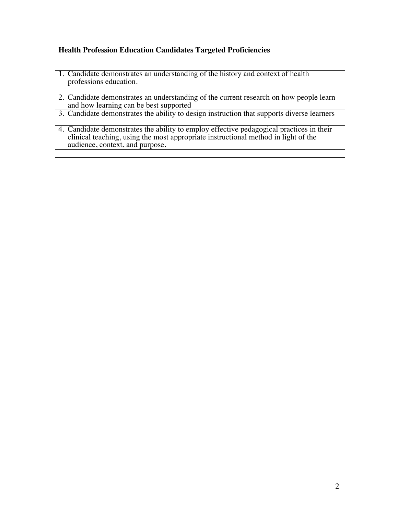## **Health Profession Education Candidates Targeted Proficiencies**

- 1. Candidate demonstrates an understanding of the history and context of health professions education.
- 2. Candidate demonstrates an understanding of the current research on how people learn and how learning can be best supported
- 3. Candidate demonstrates the ability to design instruction that supports diverse learners
- 4. Candidate demonstrates the ability to employ effective pedagogical practices in their clinical teaching, using the most appropriate instructional method in light of the audience, context, and purpose.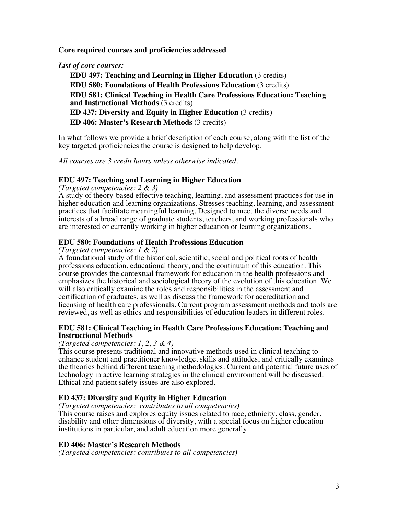**Core required courses and proficiencies addressed**

*List of core courses:* 

 **EDU 497: Teaching and Learning in Higher Education** (3 credits) **EDU 580: Foundations of Health Professions Education** (3 credits) **EDU 581: Clinical Teaching in Health Care Professions Education: Teaching and Instructional Methods** (3 credits) **ED 437: Diversity and Equity in Higher Education** (3 credits) **ED 406: Master's Research Methods** (3 credits)

In what follows we provide a brief description of each course, along with the list of the key targeted proficiencies the course is designed to help develop.

*All courses are 3 credit hours unless otherwise indicated.*

## **EDU 497: Teaching and Learning in Higher Education**

*(Targeted competencies: 2 & 3)*

A study of theory-based effective teaching, learning, and assessment practices for use in higher education and learning organizations. Stresses teaching, learning, and assessment practices that facilitate meaningful learning. Designed to meet the diverse needs and interests of a broad range of graduate students, teachers, and working professionals who are interested or currently working in higher education or learning organizations.

## **EDU 580: Foundations of Health Professions Education**

*(Targeted competencies: 1 & 2)*

A foundational study of the historical, scientific, social and political roots of health professions education, educational theory, and the continuum of this education. This course provides the contextual framework for education in the health professions and emphasizes the historical and sociological theory of the evolution of this education. We will also critically examine the roles and responsibilities in the assessment and certification of graduates, as well as discuss the framework for accreditation and licensing of health care professionals. Current program assessment methods and tools are reviewed, as well as ethics and responsibilities of education leaders in different roles.

## **EDU 581: Clinical Teaching in Health Care Professions Education: Teaching and Instructional Methods**

### *(Targeted competencies: 1, 2, 3 & 4)*

This course presents traditional and innovative methods used in clinical teaching to enhance student and practitioner knowledge, skills and attitudes, and critically examines the theories behind different teaching methodologies. Current and potential future uses of technology in active learning strategies in the clinical environment will be discussed. Ethical and patient safety issues are also explored.

## **ED 437: Diversity and Equity in Higher Education**

*(Targeted competencies: contributes to all competencies)*

This course raises and explores equity issues related to race, ethnicity, class, gender, disability and other dimensions of diversity, with a special focus on higher education institutions in particular, and adult education more generally.

## **ED 406: Master's Research Methods**

*(Targeted competencies: contributes to all competencies)*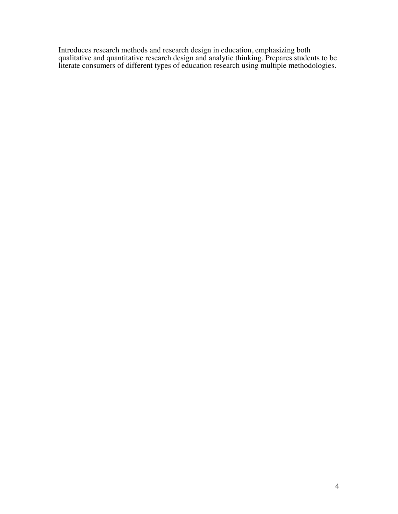Introduces research methods and research design in education, emphasizing both qualitative and quantitative research design and analytic thinking. Prepares students to be literate consumers of different types of education research using multiple methodologies.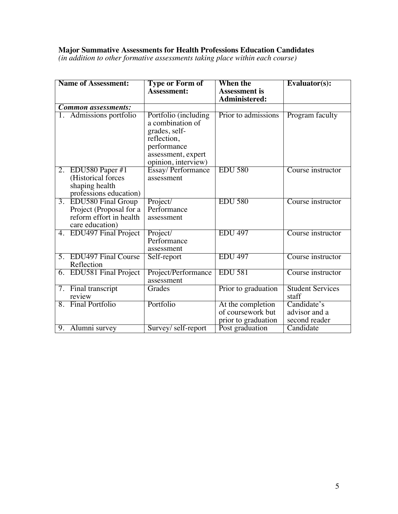## **Major Summative Assessments for Health Professions Education Candidates**

*(in addition to other formative assessments taking place within each course)*

| <b>Name of Assessment:</b> |                                                                       | <b>Type or Form of</b>                                                                                                               | When the             | Evaluator(s):           |
|----------------------------|-----------------------------------------------------------------------|--------------------------------------------------------------------------------------------------------------------------------------|----------------------|-------------------------|
|                            |                                                                       | Assessment:                                                                                                                          | <b>Assessment</b> is |                         |
|                            |                                                                       |                                                                                                                                      | Administered:        |                         |
|                            | <b>Common assessments:</b>                                            |                                                                                                                                      |                      |                         |
|                            | 1. Admissions portfolio                                               | Portfolio (including<br>a combination of<br>grades, self-<br>reflection,<br>performance<br>assessment, expert<br>opinion, interview) | Prior to admissions  | Program faculty         |
|                            | 2. EDU580 Paper $#1$                                                  | Essay/Performance                                                                                                                    | <b>EDU 580</b>       | Course instructor       |
|                            | (Historical forces<br>shaping health<br>professions education)        | assessment                                                                                                                           |                      |                         |
| 3.                         | <b>EDU580 Final Group</b>                                             | Project/                                                                                                                             | <b>EDU 580</b>       | Course instructor       |
|                            | Project (Proposal for a<br>reform effort in health<br>care education) | Performance<br>assessment                                                                                                            |                      |                         |
| 4.                         | <b>EDU497</b> Final Project                                           | Project/                                                                                                                             | <b>EDU 497</b>       | Course instructor       |
|                            |                                                                       | Performance<br>assessment                                                                                                            |                      |                         |
|                            | 5. EDU497 Final Course                                                | Self-report                                                                                                                          | <b>EDU 497</b>       | Course instructor       |
|                            | Reflection                                                            |                                                                                                                                      |                      |                         |
|                            | 6. EDU581 Final Project                                               | Project/Performance<br>assessment                                                                                                    | <b>EDU 581</b>       | Course instructor       |
|                            | 7. Final transcript                                                   | Grades                                                                                                                               | Prior to graduation  | <b>Student Services</b> |
|                            | review                                                                |                                                                                                                                      |                      | staff                   |
|                            | 8. Final Portfolio                                                    | Portfolio                                                                                                                            | At the completion    | Candidate's             |
|                            |                                                                       |                                                                                                                                      | of coursework but    | advisor and a           |
|                            |                                                                       |                                                                                                                                      | prior to graduation  | second reader           |
|                            | 9. Alumni survey                                                      | Survey/self-report                                                                                                                   | Post graduation      | Candidate               |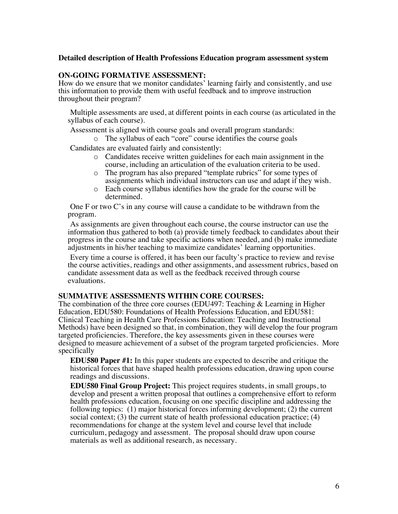### **Detailed description of Health Professions Education program assessment system**

### **ON-GOING FORMATIVE ASSESSMENT:**

How do we ensure that we monitor candidates' learning fairly and consistently, and use this information to provide them with useful feedback and to improve instruction throughout their program?

 Multiple assessments are used, at different points in each course (as articulated in the syllabus of each course).

Assessment is aligned with course goals and overall program standards:

o The syllabus of each "core" course identifies the course goals

Candidates are evaluated fairly and consistently:

- o Candidates receive written guidelines for each main assignment in the course, including an articulation of the evaluation criteria to be used*.*
- o The program has also prepared "template rubrics" for some types of assignments which individual instructors can use and adapt if they wish.
- o Each course syllabus identifies how the grade for the course will be determined.

 One F or two C's in any course will cause a candidate to be withdrawn from the program.

 As assignments are given throughout each course, the course instructor can use the information thus gathered to both (a) provide timely feedback to candidates about their progress in the course and take specific actions when needed, and (b) make immediate adjustments in his/her teaching to maximize candidates' learning opportunities.

 Every time a course is offered, it has been our faculty's practice to review and revise the course activities, readings and other assignments, and assessment rubrics, based on candidate assessment data as well as the feedback received through course evaluations.

### **SUMMATIVE ASSESSMENTS WITHIN CORE COURSES:**

The combination of the three core courses (EDU497: Teaching & Learning in Higher Education, EDU580: Foundations of Health Professions Education, and EDU581: Clinical Teaching in Health Care Professions Education: Teaching and Instructional Methods) have been designed so that, in combination, they will develop the four program targeted proficiencies. Therefore, the key assessments given in these courses were designed to measure achievement of a subset of the program targeted proficiencies. More specifically

 **EDU580 Paper #1:** In this paper students are expected to describe and critique the historical forces that have shaped health professions education, drawing upon course readings and discussions.

 **EDU580 Final Group Project:** This project requires students, in small groups, to develop and present a written proposal that outlines a comprehensive effort to reform health professions education, focusing on one specific discipline and addressing the following topics: (1) major historical forces informing development; (2) the current social context; (3) the current state of health professional education practice; (4) recommendations for change at the system level and course level that include curriculum, pedagogy and assessment. The proposal should draw upon course materials as well as additional research, as necessary.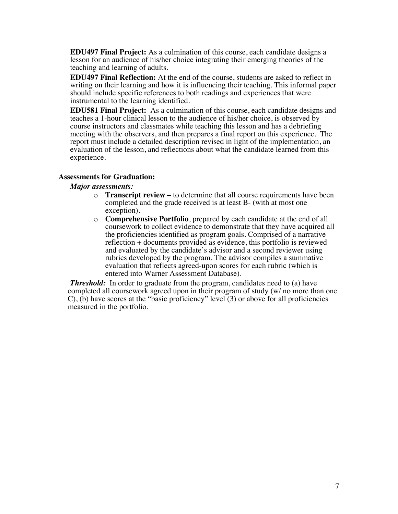**EDU497 Final Project:** As a culmination of this course, each candidate designs a lesson for an audience of his/her choice integrating their emerging theories of the teaching and learning of adults.

 **EDU497 Final Reflection:** At the end of the course, students are asked to reflect in writing on their learning and how it is influencing their teaching. This informal paper should include specific references to both readings and experiences that were instrumental to the learning identified.

 **EDU581 Final Project:** As a culmination of this course, each candidate designs and teaches a 1-hour clinical lesson to the audience of his/her choice, is observed by course instructors and classmates while teaching this lesson and has a debriefing meeting with the observers, and then prepares a final report on this experience. The report must include a detailed description revised in light of the implementation, an evaluation of the lesson, and reflections about what the candidate learned from this experience.

#### **Assessments for Graduation:**

#### *Major assessments:*

- o **Transcript review –** to determine that all course requirements have been completed and the grade received is at least B- (with at most one exception).
- o **Comprehensive Portfolio**, prepared by each candidate at the end of all coursework to collect evidence to demonstrate that they have acquired all the proficiencies identified as program goals. Comprised of a narrative reflection + documents provided as evidence, this portfolio is reviewed and evaluated by the candidate's advisor and a second reviewer using rubrics developed by the program. The advisor compiles a summative evaluation that reflects agreed-upon scores for each rubric (which is entered into Warner Assessment Database).

*Threshold:* In order to graduate from the program, candidates need to (a) have completed all coursework agreed upon in their program of study (w/ no more than one  $C$ ), (b) have scores at the "basic proficiency" level (3) or above for all proficiencies measured in the portfolio.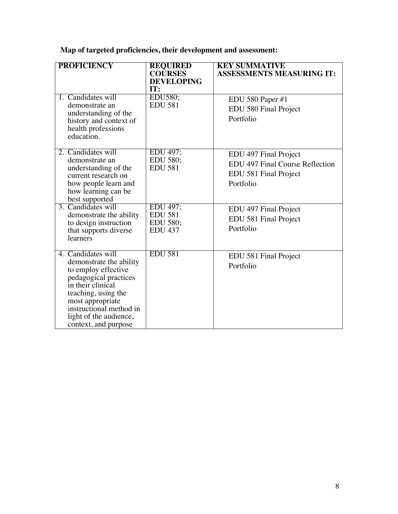**Map of targeted proficiencies, their development and assessment:**

| <b>PROFICIENCY</b>                                                                                                                                                                                                                         | <b>REQUIRED</b><br><b>COURSES</b><br><b>DEVELOPING</b><br>IT: | <b>KEY SUMMATIVE</b><br><b>ASSESSMENTS MEASURING IT:</b>                                       |
|--------------------------------------------------------------------------------------------------------------------------------------------------------------------------------------------------------------------------------------------|---------------------------------------------------------------|------------------------------------------------------------------------------------------------|
| 1. Candidates will<br>demonstrate an<br>understanding of the<br>history and context of<br>health professions<br>education.                                                                                                                 | EDU580;<br><b>EDU 581</b>                                     | EDU 580 Paper #1<br>EDU 580 Final Project<br>Portfolio                                         |
| 2. Candidates will<br>demonstrate an<br>understanding of the<br>current research on<br>how people learn and<br>how learning can be<br>best supported                                                                                       | EDU 497;<br>EDU 580;<br><b>EDU 581</b>                        | EDU 497 Final Project<br>EDU 497 Final Course Reflection<br>EDU 581 Final Project<br>Portfolio |
| 3. Candidates will<br>demonstrate the ability<br>to design instruction<br>that supports diverse<br>learners                                                                                                                                | EDU 497;<br><b>EDU 581</b><br>EDU 580;<br><b>EDU 437</b>      | EDU 497 Final Project<br>EDU 581 Final Project<br>Portfolio                                    |
| 4. Candidates will<br>demonstrate the ability<br>to employ effective<br>pedagogical practices<br>in their clinical<br>teaching, using the<br>most appropriate<br>instructional method in<br>light of the audience,<br>context, and purpose | <b>EDU 581</b>                                                | EDU 581 Final Project<br>Portfolio                                                             |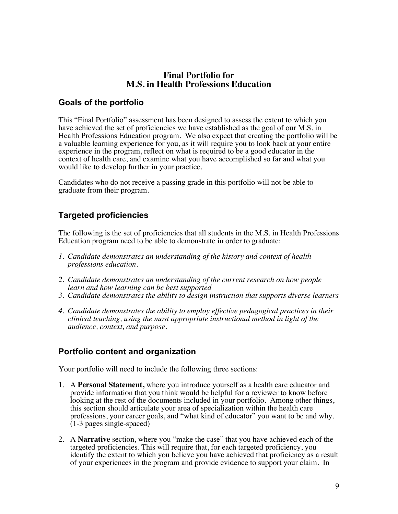## **Final Portfolio for M.S. in Health Professions Education**

# **Goals of the portfolio**

This "Final Portfolio" assessment has been designed to assess the extent to which you have achieved the set of proficiencies we have established as the goal of our M.S. in Health Professions Education program. We also expect that creating the portfolio will be a valuable learning experience for you, as it will require you to look back at your entire experience in the program, reflect on what is required to be a good educator in the context of health care, and examine what you have accomplished so far and what you would like to develop further in your practice.

Candidates who do not receive a passing grade in this portfolio will not be able to graduate from their program.

# **Targeted proficiencies**

The following is the set of proficiencies that all students in the M.S. in Health Professions Education program need to be able to demonstrate in order to graduate:

- *1. Candidate demonstrates an understanding of the history and context of health professions education.*
- *2. Candidate demonstrates an understanding of the current research on how people learn and how learning can be best supported*
- *3. Candidate demonstrates the ability to design instruction that supports diverse learners*
- *4. Candidate demonstrates the ability to employ effective pedagogical practices in their clinical teaching, using the most appropriate instructional method in light of the audience, context, and purpose.*

# **Portfolio content and organization**

Your portfolio will need to include the following three sections:

- 1. A **Personal Statement,** where you introduce yourself as a health care educator and provide information that you think would be helpful for a reviewer to know before looking at the rest of the documents included in your portfolio. Among other things, this section should articulate your area of specialization within the health care professions, your career goals, and "what kind of educator" you want to be and why.  $(1-3$  pages single-spaced)
- 2. A **Narrative** section, where you "make the case" that you have achieved each of the targeted proficiencies. This will require that, for each targeted proficiency, you identify the extent to which you believe you have achieved that proficiency as a result of your experiences in the program and provide evidence to support your claim. In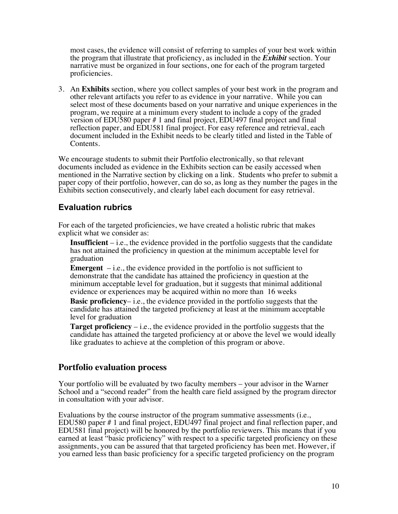most cases, the evidence will consist of referring to samples of your best work within the program that illustrate that proficiency, as included in the *Exhibit* section. Your narrative must be organized in four sections, one for each of the program targeted proficiencies.

3. An **Exhibits** section, where you collect samples of your best work in the program and other relevant artifacts you refer to as evidence in your narrative. While you can select most of these documents based on your narrative and unique experiences in the program, we require at a minimum every student to include a copy of the graded version of EDU580 paper # 1 and final project, EDU497 final project and final reflection paper, and EDU581 final project. For easy reference and retrieval, each document included in the Exhibit needs to be clearly titled and listed in the Table of Contents.

We encourage students to submit their Portfolio electronically, so that relevant documents included as evidence in the Exhibits section can be easily accessed when mentioned in the Narrative section by clicking on a link. Students who prefer to submit a paper copy of their portfolio, however, can do so, as long as they number the pages in the Exhibits section consecutively, and clearly label each document for easy retrieval.

## **Evaluation rubrics**

For each of the targeted proficiencies, we have created a holistic rubric that makes explicit what we consider as:

 **Insufficient** – i.e., the evidence provided in the portfolio suggests that the candidate has not attained the proficiency in question at the minimum acceptable level for graduation

**Emergent**  $-$  i.e., the evidence provided in the portfolio is not sufficient to demonstrate that the candidate has attained the proficiency in question at the minimum acceptable level for graduation, but it suggests that minimal additional evidence or experiences may be acquired within no more than 16 weeks

**Basic proficiency–** i.e., the evidence provided in the portfolio suggests that the candidate has attained the targeted proficiency at least at the minimum acceptable level for graduation

**Target proficiency** – i.e., the evidence provided in the portfolio suggests that the candidate has attained the targeted proficiency at or above the level we would ideally like graduates to achieve at the completion of this program or above.

## **Portfolio evaluation process**

Your portfolio will be evaluated by two faculty members – your advisor in the Warner School and a "second reader" from the health care field assigned by the program director in consultation with your advisor.

Evaluations by the course instructor of the program summative assessments (i.e., EDU580 paper # 1 and final project, EDU497 final project and final reflection paper, and EDU581 final project) will be honored by the portfolio reviewers. This means that if you earned at least "basic proficiency" with respect to a specific targeted proficiency on these assignments, you can be assured that that targeted proficiency has been met. However, if you earned less than basic proficiency for a specific targeted proficiency on the program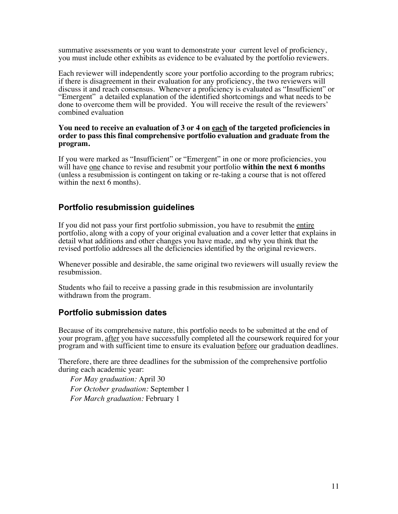summative assessments or you want to demonstrate your current level of proficiency, you must include other exhibits as evidence to be evaluated by the portfolio reviewers.

Each reviewer will independently score your portfolio according to the program rubrics; if there is disagreement in their evaluation for any proficiency, the two reviewers will discuss it and reach consensus. Whenever a proficiency is evaluated as "Insufficient" or "Emergent" a detailed explanation of the identified shortcomings and what needs to be done to overcome them will be provided. You will receive the result of the reviewers' combined evaluation

### **You need to receive an evaluation of 3 or 4 on each of the targeted proficiencies in order to pass this final comprehensive portfolio evaluation and graduate from the program.**

If you were marked as "Insufficient" or "Emergent" in one or more proficiencies, you will have <u>one</u> chance to revise and resubmit your portfolio **within the next 6 months** (unless a resubmission is contingent on taking or re-taking a course that is not offered within the next 6 months).

# **Portfolio resubmission guidelines**

If you did not pass your first portfolio submission, you have to resubmit the entire portfolio, along with a copy of your original evaluation and a cover letter that explains in detail what additions and other changes you have made, and why you think that the revised portfolio addresses all the deficiencies identified by the original reviewers.

Whenever possible and desirable, the same original two reviewers will usually review the resubmission.

Students who fail to receive a passing grade in this resubmission are involuntarily withdrawn from the program.

# **Portfolio submission dates**

Because of its comprehensive nature, this portfolio needs to be submitted at the end of your program, after you have successfully completed all the coursework required for your program and with sufficient time to ensure its evaluation before our graduation deadlines.

Therefore, there are three deadlines for the submission of the comprehensive portfolio during each academic year:

 *For May graduation:* April 30 *For October graduation:* September 1 *For March graduation:* February 1